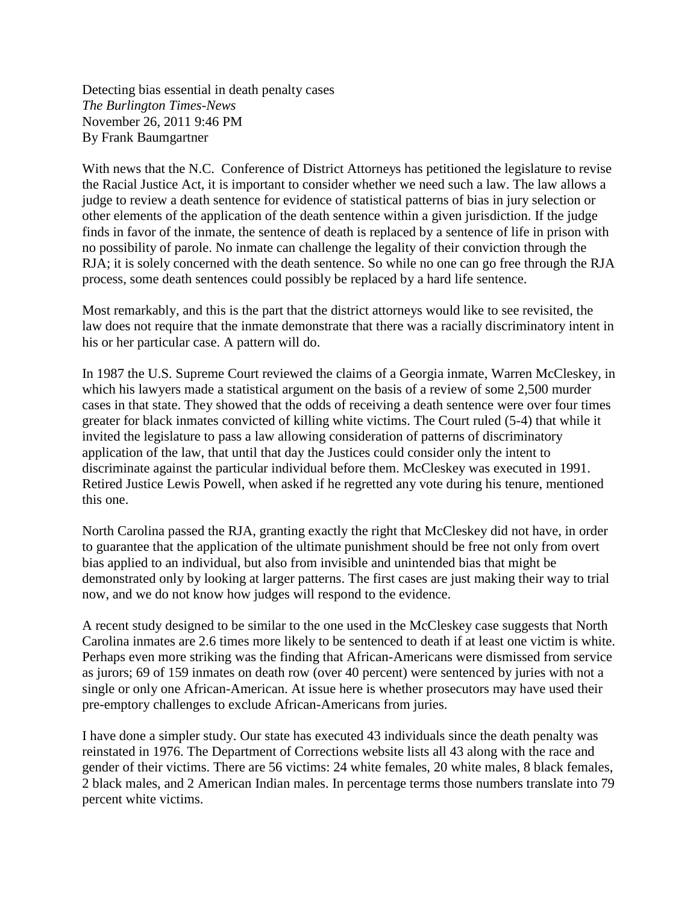Detecting bias essential in death penalty cases *The Burlington Times-News* November 26, 2011 9:46 PM By Frank Baumgartner

With news that the N.C. Conference of District Attorneys has petitioned the legislature to revise the Racial Justice Act, it is important to consider whether we need such a law. The law allows a judge to review a death sentence for evidence of statistical patterns of bias in jury selection or other elements of the application of the death sentence within a given jurisdiction. If the judge finds in favor of the inmate, the sentence of death is replaced by a sentence of life in prison with no possibility of parole. No inmate can challenge the legality of their conviction through the RJA; it is solely concerned with the death sentence. So while no one can go free through the RJA process, some death sentences could possibly be replaced by a hard life sentence.

Most remarkably, and this is the part that the district attorneys would like to see revisited, the law does not require that the inmate demonstrate that there was a racially discriminatory intent in his or her particular case. A pattern will do.

In 1987 the U.S. Supreme Court reviewed the claims of a Georgia inmate, Warren McCleskey, in which his lawyers made a statistical argument on the basis of a review of some 2,500 murder cases in that state. They showed that the odds of receiving a death sentence were over four times greater for black inmates convicted of killing white victims. The Court ruled (5-4) that while it invited the legislature to pass a law allowing consideration of patterns of discriminatory application of the law, that until that day the Justices could consider only the intent to discriminate against the particular individual before them. McCleskey was executed in 1991. Retired Justice Lewis Powell, when asked if he regretted any vote during his tenure, mentioned this one.

North Carolina passed the RJA, granting exactly the right that McCleskey did not have, in order to guarantee that the application of the ultimate punishment should be free not only from overt bias applied to an individual, but also from invisible and unintended bias that might be demonstrated only by looking at larger patterns. The first cases are just making their way to trial now, and we do not know how judges will respond to the evidence.

A recent study designed to be similar to the one used in the McCleskey case suggests that North Carolina inmates are 2.6 times more likely to be sentenced to death if at least one victim is white. Perhaps even more striking was the finding that African-Americans were dismissed from service as jurors; 69 of 159 inmates on death row (over 40 percent) were sentenced by juries with not a single or only one African-American. At issue here is whether prosecutors may have used their pre-emptory challenges to exclude African-Americans from juries.

I have done a simpler study. Our state has executed 43 individuals since the death penalty was reinstated in 1976. The Department of Corrections website lists all 43 along with the race and gender of their victims. There are 56 victims: 24 white females, 20 white males, 8 black females, 2 black males, and 2 American Indian males. In percentage terms those numbers translate into 79 percent white victims.